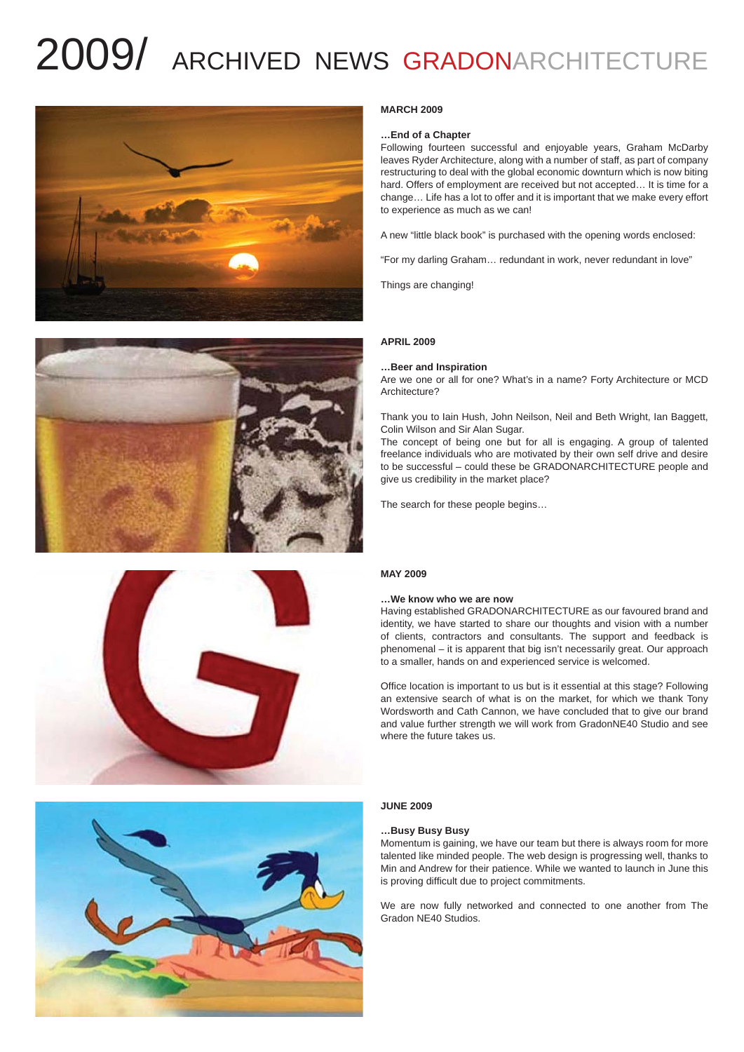# 2009/ ARCHIVED NEWS GRADONARCHITECTURE









#### **MARCH 2009**

#### **…End of a Chapter**

Following fourteen successful and enjoyable years, Graham McDarby leaves Ryder Architecture, along with a number of staff, as part of company restructuring to deal with the global economic downturn which is now biting hard. Offers of employment are received but not accepted… It is time for a change… Life has a lot to offer and it is important that we make every effort to experience as much as we can!

A new "little black book" is purchased with the opening words enclosed:

"For my darling Graham… redundant in work, never redundant in love"

Things are changing!

#### **APRIL 2009**

#### **…Beer and Inspiration**

Are we one or all for one? What's in a name? Forty Architecture or MCD Architecture?

Thank you to Iain Hush, John Neilson, Neil and Beth Wright, Ian Baggett, Colin Wilson and Sir Alan Sugar.

The concept of being one but for all is engaging. A group of talented freelance individuals who are motivated by their own self drive and desire to be successful – could these be GRADONARCHITECTURE people and give us credibility in the market place?

The search for these people begins…

## **MAY 2009**

#### **…We know who we are now**

Having established GRADONARCHITECTURE as our favoured brand and identity, we have started to share our thoughts and vision with a number of clients, contractors and consultants. The support and feedback is phenomenal – it is apparent that big isn't necessarily great. Our approach to a smaller, hands on and experienced service is welcomed.

Office location is important to us but is it essential at this stage? Following an extensive search of what is on the market, for which we thank Tony Wordsworth and Cath Cannon, we have concluded that to give our brand and value further strength we will work from GradonNE40 Studio and see where the future takes us.

#### **JUNE 2009**

#### **…Busy Busy Busy**

Momentum is gaining, we have our team but there is always room for more talented like minded people. The web design is progressing well, thanks to Min and Andrew for their patience. While we wanted to launch in June this is proving difficult due to project commitments.

We are now fully networked and connected to one another from The Gradon NE40 Studios.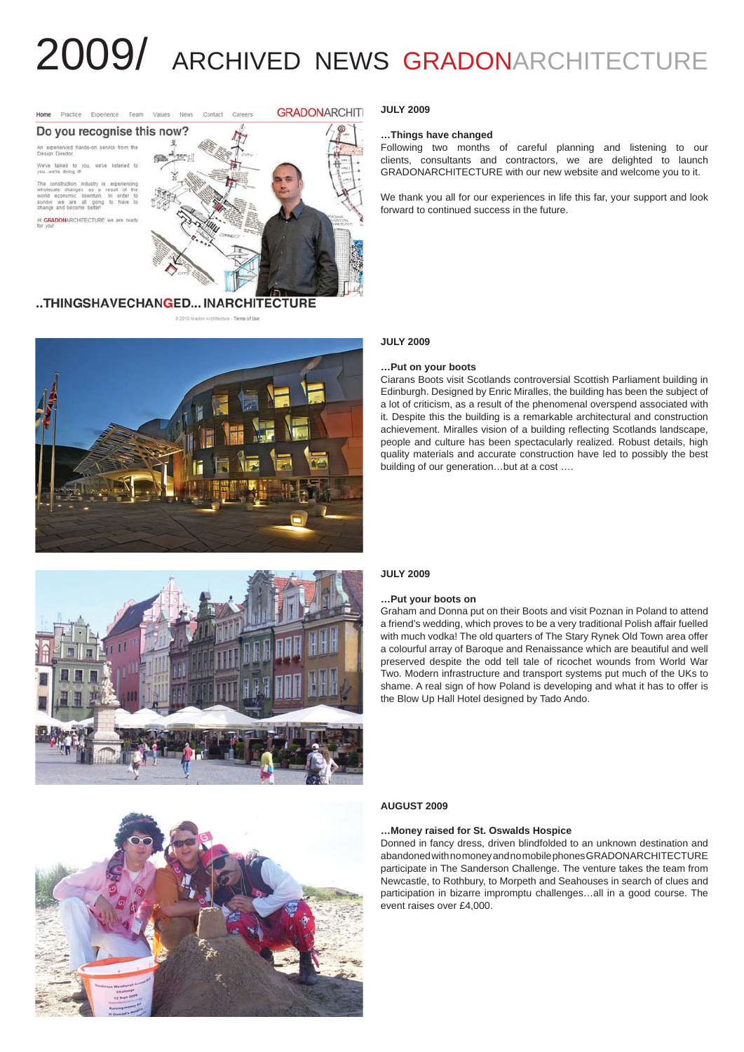# 2009/ ARCHIVED NEWS GRADONARCHITECTURE



# ..THINGSHAVECHANGED...INARCHITECTURE



#### **JULY 2009**

#### **…Things have changed**

Following two months of careful planning and listening to our clients, consultants and contractors, we are delighted to launch GRADONARCHITECTURE with our new website and welcome you to it.

We thank you all for our experiences in life this far, your support and look forward to continued success in the future.

#### **JULY 2009**

#### **…Put on your boots**

Ciarans Boots visit Scotlands controversial Scottish Parliament building in Edinburgh. Designed by Enric Miralles, the building has been the subject of a lot of criticism, as a result of the phenomenal overspend associated with it. Despite this the building is a remarkable architectural and construction achievement. Miralles vision of a building reflecting Scotlands landscape, people and culture has been spectacularly realized. Robust details, high quality materials and accurate construction have led to possibly the best building of our generation…but at a cost ….





#### **JULY 2009**

#### **…Put your boots on**

Graham and Donna put on their Boots and visit Poznan in Poland to attend a friend's wedding, which proves to be a very traditional Polish affair fuelled with much vodka! The old quarters of The Stary Rynek Old Town area offer a colourful array of Baroque and Renaissance which are beautiful and well preserved despite the odd tell tale of ricochet wounds from World War Two. Modern infrastructure and transport systems put much of the UKs to shame. A real sign of how Poland is developing and what it has to offer is the Blow Up Hall Hotel designed by Tado Ando.

#### **AUGUST 2009**

#### **…Money raised for St. Oswalds Hospice**

Donned in fancy dress, driven blindfolded to an unknown destination and abandoned with no money and no mobile phones GRADONARCHITECTURE participate in The Sanderson Challenge. The venture takes the team from Newcastle, to Rothbury, to Morpeth and Seahouses in search of clues and participation in bizarre impromptu challenges…all in a good course. The event raises over £4,000.